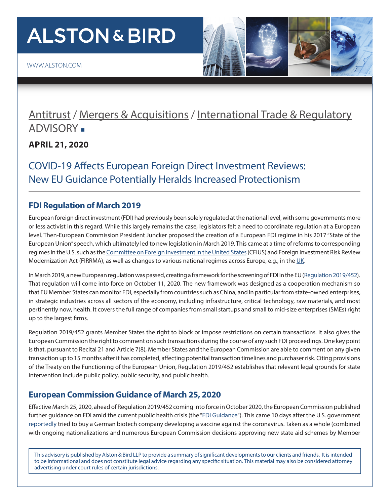# **ALSTON & BIRD**

[WWW.ALSTON.COM](www.alston.com)

### [Antitrust](http://www.alston.com/services/litigation/antitrust/) / [Mergers & Acquisitions](http://www.alston.com/services/corporate-finance/corporate-business/mergers-acquisitions/) / [International Trade & Regulatory](https://www.alston.com/en/services/practices/litigation/international-trade--regulatory) ADVISORY .

**APRIL 21, 2020** 

COVID-19 Affects European Foreign Direct Investment Reviews: New EU Guidance Potentially Heralds Increased Protectionism

#### **FDI Regulation of March 2019**

European foreign direct investment (FDI) had previously been solely regulated at the national level, with some governments more or less activist in this regard. While this largely remains the case, legislators felt a need to coordinate regulation at a European level. Then-European Commission President Juncker proposed the creation of a European FDI regime in his 2017 "State of the European Union" speech, which ultimately led to new legislation in March 2019. This came at a time of reforms to corresponding regimes in the U.S. such as the [Committee on Foreign Investment in the United States](https://www.alston.com/en/insights/publications/2020/01/cfius-finalizes-rules/) (CFIUS) and Foreign Investment Risk Review Modernization Act (FIRRMA), as well as changes to various national regimes across Europe, e.g., in the [UK.](https://www.gov.uk/government/consultations/national-security-and-infrastructure-investment-review#history)

In March 2019, a new European regulation was passed, creating a framework for the screening of FDI in the EU ([Regulation 2019/452\)](https://eur-lex.europa.eu/legal-content/EN/TXT/PDF/?uri=CELEX:32019R0452&from=EN). That regulation will come into force on October 11, 2020. The new framework was designed as a cooperation mechanism so that EU Member States can monitor FDI, especially from countries such as China, and in particular from state-owned enterprises, in strategic industries across all sectors of the economy, including infrastructure, critical technology, raw materials, and most pertinently now, health. It covers the full range of companies from small startups and small to mid-size enterprises (SMEs) right up to the largest firms.

Regulation 2019/452 grants Member States the right to block or impose restrictions on certain transactions. It also gives the European Commission the right to comment on such transactions during the course of any such FDI proceedings. One key point is that, pursuant to Recital 21 and Article 7(8), Member States and the European Commission are able to comment on any given transaction up to 15 months after it has completed, affecting potential transaction timelines and purchaser risk. Citing provisions of the Treaty on the Functioning of the European Union, Regulation 2019/452 establishes that relevant legal grounds for state intervention include public policy, public security, and public health.

#### **European Commission Guidance of March 25, 2020**

Effective March 25, 2020, ahead of Regulation 2019/452 coming into force in October 2020, the European Commission published further guidance on FDI amid the current public health crisis (the "[FDI Guidance"](https://trade.ec.europa.eu/doclib/docs/2020/march/tradoc_158676.pdf)). This came 10 days after the U.S. government [reportedly](https://www.ft.com/content/cf7ec42a-66bb-11ea-800d-da70cff6e4d3) tried to buy a German biotech company developing a vaccine against the coronavirus. Taken as a whole (combined with ongoing nationalizations and numerous European Commission decisions approving new state aid schemes by Member

This advisory is published by Alston & Bird LLP to provide a summary of significant developments to our clients and friends. It is intended to be informational and does not constitute legal advice regarding any specific situation. This material may also be considered attorney advertising under court rules of certain jurisdictions.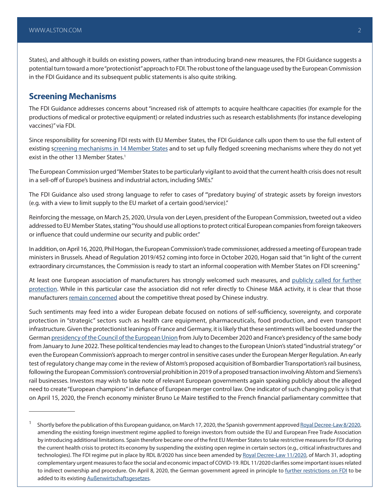States), and although it builds on existing powers, rather than introducing brand-new measures, the FDI Guidance suggests a potential turn toward a more "protectionist" approach to FDI. The robust tone of the language used by the European Commission in the FDI Guidance and its subsequent public statements is also quite striking.

#### **Screening Mechanisms**

The FDI Guidance addresses concerns about "increased risk of attempts to acquire healthcare capacities (for example for the productions of medical or protective equipment) or related industries such as research establishments (for instance developing vaccines)" via FDI.

Since responsibility for screening FDI rests with EU Member States, the FDI Guidance calls upon them to use the full extent of existing [screening mechanisms in 14 Member States](https://trade.ec.europa.eu/doclib/docs/2019/june/tradoc_157946.pdf) and to set up fully fledged screening mechanisms where they do not yet exist in the other 13 Member States.<sup>1</sup>

The European Commission urged "Member States to be particularly vigilant to avoid that the current health crisis does not result in a sell-off of Europe's business and industrial actors, including SMEs."

The FDI Guidance also used strong language to refer to cases of "'predatory buying' of strategic assets by foreign investors (e.g. with a view to limit supply to the EU market of a certain good/service)."

Reinforcing the message, on March 25, 2020, Ursula von der Leyen, president of the European Commission, tweeted out a video addressed to EU Member States, stating "You should use all options to protect critical European companies from foreign takeovers or influence that could undermine our security and public order."

In addition, on April 16, 2020, Phil Hogan, the European Commission's trade commissioner, addressed a meeting of European trade ministers in Brussels. Ahead of Regulation 2019/452 coming into force in October 2020, Hogan said that "in light of the current extraordinary circumstances, the Commission is ready to start an informal cooperation with Member States on FDI screening."

At least one European association of manufacturers has strongly welcomed such measures, and publicly called for further [protection.](http://www.aegiseurope.eu/news/manufacturing-industries-call-on-the-eu-to-prevent-a-great-takeover-as-an-economic-consequence-of-the-covid-19-outbreak) While in this particular case the association did not refer directly to Chinese M&A activity, it is clear that those manufacturers [remain concerned](http://www.aegiseurope.eu/about) about the competitive threat posed by Chinese industry.

Such sentiments may feed into a wider European debate focused on notions of self-sufficiency, sovereignty, and corporate protection in "strategic" sectors such as health care equipment, pharmaceuticals, food production, and even transport infrastructure. Given the protectionist leanings of France and Germany, it is likely that these sentiments will be boosted under the German [presidency of the Council of the European Union](https://www.consilium.europa.eu/en/council-eu/presidency-council-eu/) from July to December 2020 and France's presidency of the same body from January to June 2022. These political tendencies may lead to changes to the European Union's stated "industrial strategy" or even the European Commission's approach to merger control in sensitive cases under the European Merger Regulation. An early test of regulatory change may come in the review of Alstom's proposed acquisition of Bombardier Transportation's rail business, following the European Commission's controversial prohibition in 2019 of a proposed transaction involving Alstom and Siemens's rail businesses. Investors may wish to take note of relevant European governments again speaking publicly about the alleged need to create "European champions" in defiance of European merger control law. One indicator of such changing policy is that on April 15, 2020, the French economy minister Bruno Le Maire testified to the French financial parliamentary committee that

<sup>&</sup>lt;sup>1</sup> Shortly before the publication of this European guidance, on March 17, 2020, the Spanish government approved [Royal Decree-Law 8/2020,](https://www.boe.es/buscar/act.php?id=BOE-A-2020-3824) amending the existing foreign investment regime applied to foreign investors from outside the EU and European Free Trade Association by introducing additional limitations. Spain therefore became one of the first EU Member States to take restrictive measures for FDI during the current health crisis to protect its economy by suspending the existing open regime in certain sectors (e.g., critical infrastructures and technologies). The FDI regime put in place by RDL 8/2020 has since been amended by [Royal Decree-Law 11/2020](https://www.boe.es/diario_boe/txt.php?id=BOE-A-2020-4208), of March 31, adopting complementary urgent measures to face the social and economic impact of COVID-19. RDL 11/2020 clarifies some important issues related to indirect ownership and procedure. On April 8, 2020, the German government agreed in principle to [further restrictions on FDI](https://www.reuters.com/article/us-health-coronavirus-germany-mergers/germany-tightens-rules-on-foreign-takeovers-idUSKBN21Q0VI) to be added to its existing [Außenwirtschaftsgesetzes.](https://www.bmwi.de/Redaktion/DE/Pressemitteilungen/2020/20200408-altmaier-investitionen-in-sicherheitssensiblen-bereichen-koennen-umfassender-und-vorausschauender-geprueft-werden.html)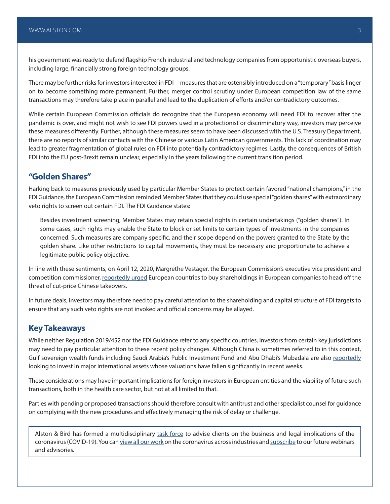his government was ready to defend flagship French industrial and technology companies from opportunistic overseas buyers, including large, financially strong foreign technology groups.

There may be further risks for investors interested in FDI—measures that are ostensibly introduced on a "temporary" basis linger on to become something more permanent. Further, merger control scrutiny under European competition law of the same transactions may therefore take place in parallel and lead to the duplication of efforts and/or contradictory outcomes.

While certain European Commission officials do recognize that the European economy will need FDI to recover after the pandemic is over, and might not wish to see FDI powers used in a protectionist or discriminatory way, investors may perceive these measures differently. Further, although these measures seem to have been discussed with the U.S. Treasury Department, there are no reports of similar contacts with the Chinese or various Latin American governments. This lack of coordination may lead to greater fragmentation of global rules on FDI into potentially contradictory regimes. Lastly, the consequences of British FDI into the EU post-Brexit remain unclear, especially in the years following the current transition period.

#### **"Golden Shares"**

Harking back to measures previously used by particular Member States to protect certain favored "national champions," in the FDI Guidance, the European Commission reminded Member States that they could use special "golden shares" with extraordinary veto rights to screen out certain FDI. The FDI Guidance states:

Besides investment screening, Member States may retain special rights in certain undertakings ("golden shares"). In some cases, such rights may enable the State to block or set limits to certain types of investments in the companies concerned. Such measures are company specific, and their scope depend on the powers granted to the State by the golden share. Like other restrictions to capital movements, they must be necessary and proportionate to achieve a legitimate public policy objective.

In line with these sentiments, on April 12, 2020, Margrethe Vestager, the European Commission's executive vice president and competition commissioner, [reportedly urged](https://www.ft.com/content/e14f24c7-e47a-4c22-8cf3-f629da62b0a7) European countries to buy shareholdings in European companies to head off the threat of cut-price Chinese takeovers.

In future deals, investors may therefore need to pay careful attention to the shareholding and capital structure of FDI targets to ensure that any such veto rights are not invoked and official concerns may be allayed.

#### **Key Takeaways**

While neither Regulation 2019/452 nor the FDI Guidance refer to any specific countries, investors from certain key jurisdictions may need to pay particular attention to these recent policy changes. Although China is sometimes referred to in this context, Gulf sovereign wealth funds including Saudi Arabia's Public Investment Fund and Abu Dhabi's Mubadala are also [reportedly](https://www.ft.com/content/3facc407-200f-4e7c-9914-79b4baece119) looking to invest in major international assets whose valuations have fallen significantly in recent weeks.

These considerations may have important implications for foreign investors in European entities and the viability of future such transactions, both in the health care sector, but not at all limited to that.

Parties with pending or proposed transactions should therefore consult with antitrust and other specialist counsel for guidance on complying with the new procedures and effectively managing the risk of delay or challenge.

Alston & Bird has formed a multidisciplinary [task force](https://www.alston.com/en/resources/coronavirus/overview) to advise clients on the business and legal implications of the coronavirus (COVID-19). You can [view all our work](https://www.alston.com/en/insights/?keyword=Coronavirus&reload=false&scroll=499.7685546875) on the coronavirus across industries and [subscribe](https://www.alston.com/en/resources/subscriptions-form) to our future webinars and advisories.